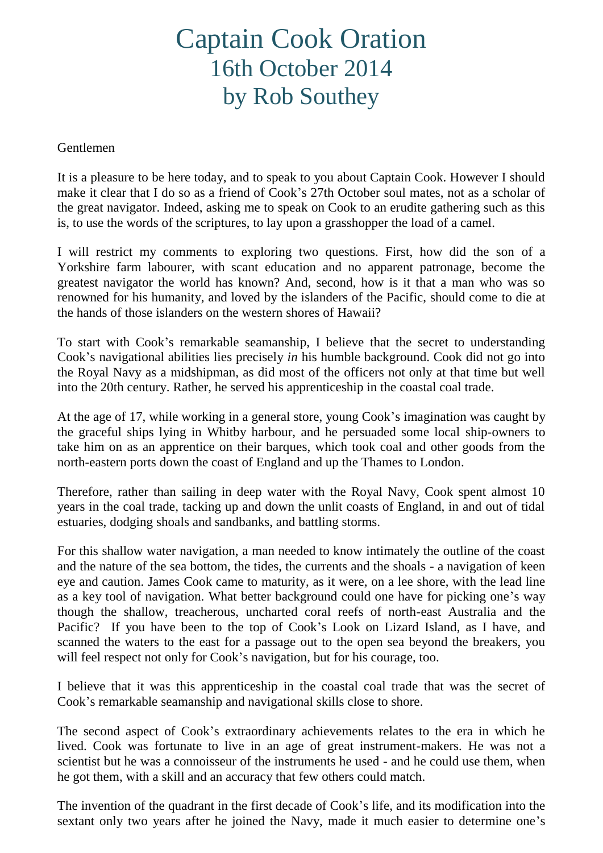## Captain Cook Oration 16th October 2014 by Rob Southey

## Gentlemen

It is a pleasure to be here today, and to speak to you about Captain Cook. However I should make it clear that I do so as a friend of Cook's 27th October soul mates, not as a scholar of the great navigator. Indeed, asking me to speak on Cook to an erudite gathering such as this is, to use the words of the scriptures, to lay upon a grasshopper the load of a camel.

I will restrict my comments to exploring two questions. First, how did the son of a Yorkshire farm labourer, with scant education and no apparent patronage, become the greatest navigator the world has known? And, second, how is it that a man who was so renowned for his humanity, and loved by the islanders of the Pacific, should come to die at the hands of those islanders on the western shores of Hawaii?

To start with Cook's remarkable seamanship, I believe that the secret to understanding Cook's navigational abilities lies precisely *in* his humble background. Cook did not go into the Royal Navy as a midshipman, as did most of the officers not only at that time but well into the 20th century. Rather, he served his apprenticeship in the coastal coal trade.

At the age of 17, while working in a general store, young Cook's imagination was caught by the graceful ships lying in Whitby harbour, and he persuaded some local ship-owners to take him on as an apprentice on their barques, which took coal and other goods from the north-eastern ports down the coast of England and up the Thames to London.

Therefore, rather than sailing in deep water with the Royal Navy, Cook spent almost 10 years in the coal trade, tacking up and down the unlit coasts of England, in and out of tidal estuaries, dodging shoals and sandbanks, and battling storms.

For this shallow water navigation, a man needed to know intimately the outline of the coast and the nature of the sea bottom, the tides, the currents and the shoals - a navigation of keen eye and caution. James Cook came to maturity, as it were, on a lee shore, with the lead line as a key tool of navigation. What better background could one have for picking one's way though the shallow, treacherous, uncharted coral reefs of north-east Australia and the Pacific? If you have been to the top of Cook's Look on Lizard Island, as I have, and scanned the waters to the east for a passage out to the open sea beyond the breakers, you will feel respect not only for Cook's navigation, but for his courage, too.

I believe that it was this apprenticeship in the coastal coal trade that was the secret of Cook's remarkable seamanship and navigational skills close to shore.

The second aspect of Cook's extraordinary achievements relates to the era in which he lived. Cook was fortunate to live in an age of great instrument-makers. He was not a scientist but he was a connoisseur of the instruments he used - and he could use them, when he got them, with a skill and an accuracy that few others could match.

The invention of the quadrant in the first decade of Cook's life, and its modification into the sextant only two years after he joined the Navy, made it much easier to determine one's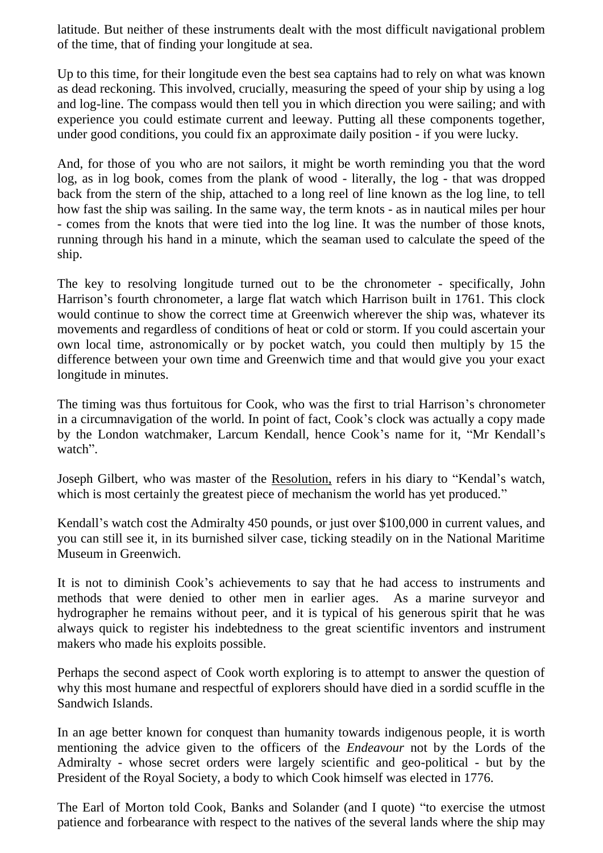latitude. But neither of these instruments dealt with the most difficult navigational problem of the time, that of finding your longitude at sea.

Up to this time, for their longitude even the best sea captains had to rely on what was known as dead reckoning. This involved, crucially, measuring the speed of your ship by using a log and log-line. The compass would then tell you in which direction you were sailing; and with experience you could estimate current and leeway. Putting all these components together, under good conditions, you could fix an approximate daily position - if you were lucky.

And, for those of you who are not sailors, it might be worth reminding you that the word log, as in log book, comes from the plank of wood - literally, the log - that was dropped back from the stern of the ship, attached to a long reel of line known as the log line, to tell how fast the ship was sailing. In the same way, the term knots - as in nautical miles per hour - comes from the knots that were tied into the log line. It was the number of those knots, running through his hand in a minute, which the seaman used to calculate the speed of the ship.

The key to resolving longitude turned out to be the chronometer - specifically, John Harrison's fourth chronometer, a large flat watch which Harrison built in 1761. This clock would continue to show the correct time at Greenwich wherever the ship was, whatever its movements and regardless of conditions of heat or cold or storm. If you could ascertain your own local time, astronomically or by pocket watch, you could then multiply by 15 the difference between your own time and Greenwich time and that would give you your exact longitude in minutes.

The timing was thus fortuitous for Cook, who was the first to trial Harrison's chronometer in a circumnavigation of the world. In point of fact, Cook's clock was actually a copy made by the London watchmaker, Larcum Kendall, hence Cook's name for it, "Mr Kendall's watch".

Joseph Gilbert, who was master of the Resolution, refers in his diary to "Kendal's watch, which is most certainly the greatest piece of mechanism the world has yet produced."

Kendall's watch cost the Admiralty 450 pounds, or just over \$100,000 in current values, and you can still see it, in its burnished silver case, ticking steadily on in the National Maritime Museum in Greenwich.

It is not to diminish Cook's achievements to say that he had access to instruments and methods that were denied to other men in earlier ages. As a marine surveyor and hydrographer he remains without peer, and it is typical of his generous spirit that he was always quick to register his indebtedness to the great scientific inventors and instrument makers who made his exploits possible.

Perhaps the second aspect of Cook worth exploring is to attempt to answer the question of why this most humane and respectful of explorers should have died in a sordid scuffle in the Sandwich Islands.

In an age better known for conquest than humanity towards indigenous people, it is worth mentioning the advice given to the officers of the *Endeavour* not by the Lords of the Admiralty - whose secret orders were largely scientific and geo-political - but by the President of the Royal Society, a body to which Cook himself was elected in 1776.

The Earl of Morton told Cook, Banks and Solander (and I quote) "to exercise the utmost patience and forbearance with respect to the natives of the several lands where the ship may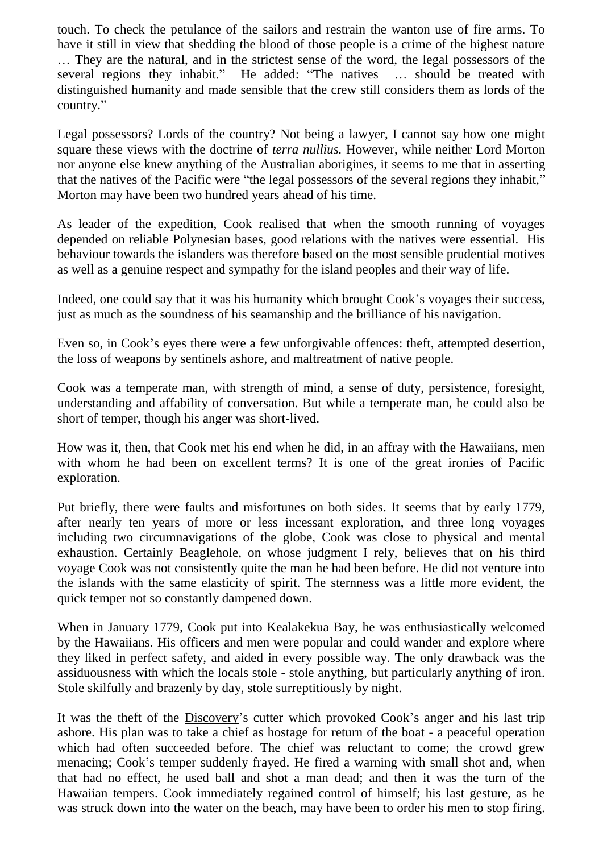touch. To check the petulance of the sailors and restrain the wanton use of fire arms. To have it still in view that shedding the blood of those people is a crime of the highest nature … They are the natural, and in the strictest sense of the word, the legal possessors of the several regions they inhabit." He added: "The natives … should be treated with distinguished humanity and made sensible that the crew still considers them as lords of the country."

Legal possessors? Lords of the country? Not being a lawyer, I cannot say how one might square these views with the doctrine of *terra nullius.* However, while neither Lord Morton nor anyone else knew anything of the Australian aborigines, it seems to me that in asserting that the natives of the Pacific were "the legal possessors of the several regions they inhabit," Morton may have been two hundred years ahead of his time.

As leader of the expedition, Cook realised that when the smooth running of voyages depended on reliable Polynesian bases, good relations with the natives were essential. His behaviour towards the islanders was therefore based on the most sensible prudential motives as well as a genuine respect and sympathy for the island peoples and their way of life.

Indeed, one could say that it was his humanity which brought Cook's voyages their success, just as much as the soundness of his seamanship and the brilliance of his navigation.

Even so, in Cook's eyes there were a few unforgivable offences: theft, attempted desertion, the loss of weapons by sentinels ashore, and maltreatment of native people.

Cook was a temperate man, with strength of mind, a sense of duty, persistence, foresight, understanding and affability of conversation. But while a temperate man, he could also be short of temper, though his anger was short-lived.

How was it, then, that Cook met his end when he did, in an affray with the Hawaiians, men with whom he had been on excellent terms? It is one of the great ironies of Pacific exploration.

Put briefly, there were faults and misfortunes on both sides. It seems that by early 1779, after nearly ten years of more or less incessant exploration, and three long voyages including two circumnavigations of the globe, Cook was close to physical and mental exhaustion. Certainly Beaglehole, on whose judgment I rely, believes that on his third voyage Cook was not consistently quite the man he had been before. He did not venture into the islands with the same elasticity of spirit. The sternness was a little more evident, the quick temper not so constantly dampened down.

When in January 1779, Cook put into Kealakekua Bay, he was enthusiastically welcomed by the Hawaiians. His officers and men were popular and could wander and explore where they liked in perfect safety, and aided in every possible way. The only drawback was the assiduousness with which the locals stole - stole anything, but particularly anything of iron. Stole skilfully and brazenly by day, stole surreptitiously by night.

It was the theft of the Discovery's cutter which provoked Cook's anger and his last trip ashore. His plan was to take a chief as hostage for return of the boat - a peaceful operation which had often succeeded before. The chief was reluctant to come; the crowd grew menacing; Cook's temper suddenly frayed. He fired a warning with small shot and, when that had no effect, he used ball and shot a man dead; and then it was the turn of the Hawaiian tempers. Cook immediately regained control of himself; his last gesture, as he was struck down into the water on the beach, may have been to order his men to stop firing.